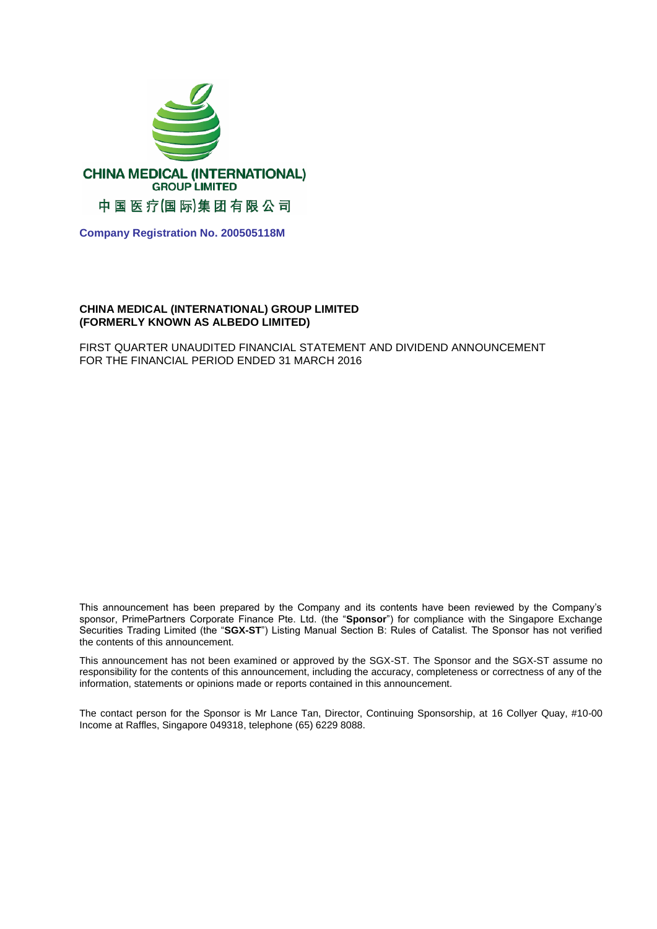

**Company Registration No. 200505118M**

#### **CHINA MEDICAL (INTERNATIONAL) GROUP LIMITED (FORMERLY KNOWN AS ALBEDO LIMITED)**

FIRST QUARTER UNAUDITED FINANCIAL STATEMENT AND DIVIDEND ANNOUNCEMENT FOR THE FINANCIAL PERIOD ENDED 31 MARCH 2016

This announcement has been prepared by the Company and its contents have been reviewed by the Company's sponsor, PrimePartners Corporate Finance Pte. Ltd. (the "**Sponsor**") for compliance with the Singapore Exchange Securities Trading Limited (the "**SGX-ST**") Listing Manual Section B: Rules of Catalist. The Sponsor has not verified the contents of this announcement.

This announcement has not been examined or approved by the SGX-ST. The Sponsor and the SGX-ST assume no responsibility for the contents of this announcement, including the accuracy, completeness or correctness of any of the information, statements or opinions made or reports contained in this announcement.

The contact person for the Sponsor is Mr Lance Tan, Director, Continuing Sponsorship, at 16 Collyer Quay, #10-00 Income at Raffles, Singapore 049318, telephone (65) 6229 8088.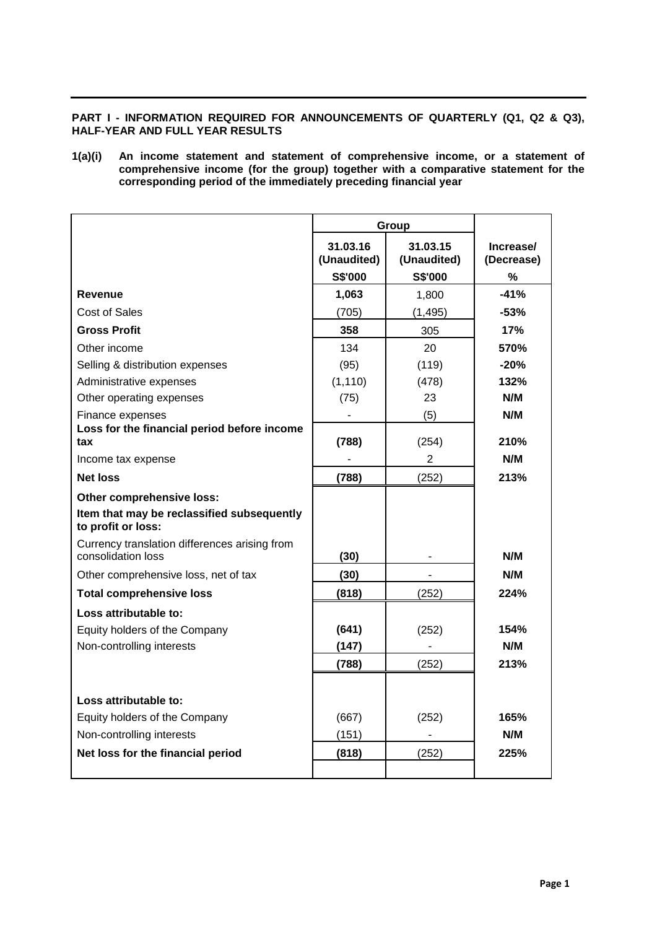## **PART I - INFORMATION REQUIRED FOR ANNOUNCEMENTS OF QUARTERLY (Q1, Q2 & Q3), HALF-YEAR AND FULL YEAR RESULTS**

**1(a)(i) An income statement and statement of comprehensive income, or a statement of comprehensive income (for the group) together with a comparative statement for the corresponding period of the immediately preceding financial year**

|                                                                     |                         | Group                   |                         |
|---------------------------------------------------------------------|-------------------------|-------------------------|-------------------------|
|                                                                     | 31.03.16<br>(Unaudited) | 31.03.15<br>(Unaudited) | Increase/<br>(Decrease) |
|                                                                     | S\$'000                 | S\$'000                 | %                       |
| Revenue                                                             | 1,063                   | 1,800                   | $-41%$                  |
| Cost of Sales                                                       | (705)                   | (1, 495)                | $-53%$                  |
| <b>Gross Profit</b>                                                 | 358                     | 305                     | 17%                     |
| Other income                                                        | 134                     | 20                      | 570%                    |
| Selling & distribution expenses                                     | (95)                    | (119)                   | $-20%$                  |
| Administrative expenses                                             | (1, 110)                | (478)                   | 132%                    |
| Other operating expenses                                            | (75)                    | 23                      | N/M                     |
| Finance expenses                                                    |                         | (5)                     | N/M                     |
| Loss for the financial period before income<br>tax                  | (788)                   | (254)                   | 210%                    |
| Income tax expense                                                  |                         | $\overline{2}$          | N/M                     |
| <b>Net loss</b>                                                     | (788)                   | (252)                   | 213%                    |
| Other comprehensive loss:                                           |                         |                         |                         |
| Item that may be reclassified subsequently<br>to profit or loss:    |                         |                         |                         |
| Currency translation differences arising from<br>consolidation loss | (30)                    |                         | N/M                     |
| Other comprehensive loss, net of tax                                | (30)                    |                         | N/M                     |
| <b>Total comprehensive loss</b>                                     | (818)                   | (252)                   | 224%                    |
| Loss attributable to:                                               |                         |                         |                         |
| Equity holders of the Company                                       | (641)                   | (252)                   | 154%                    |
| Non-controlling interests                                           | (147)                   |                         | N/M                     |
|                                                                     | (788)                   | (252)                   | 213%                    |
|                                                                     |                         |                         |                         |
| Loss attributable to:                                               |                         |                         |                         |
| Equity holders of the Company                                       | (667)                   | (252)                   | 165%                    |
| Non-controlling interests                                           | (151)                   | $\blacksquare$          | N/M                     |
| Net loss for the financial period                                   | (818)                   | (252)                   | 225%                    |
|                                                                     |                         |                         |                         |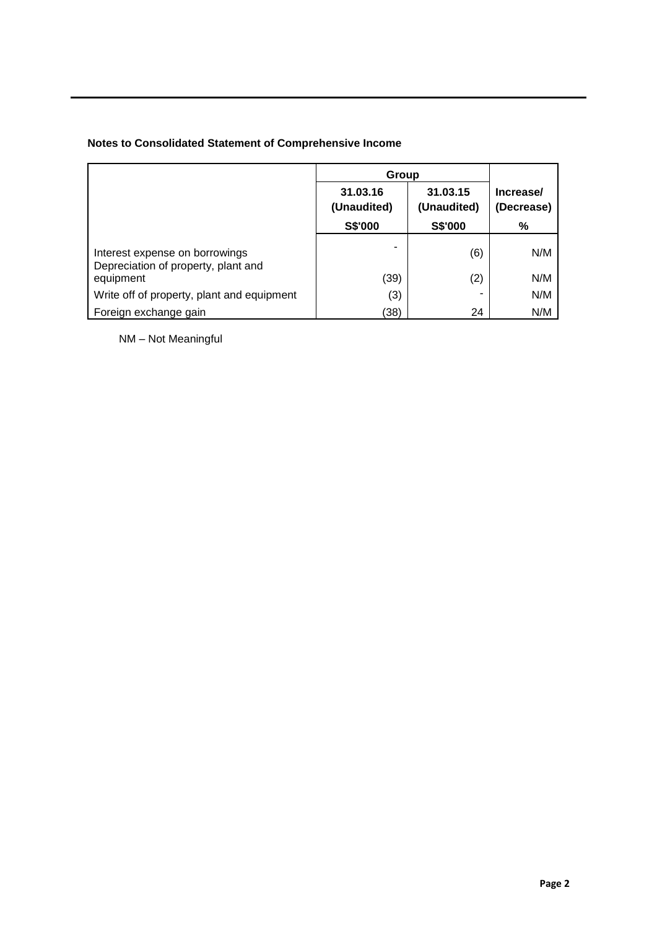# **Notes to Consolidated Statement of Comprehensive Income**

|                                                                       | Group                   |                         |                         |
|-----------------------------------------------------------------------|-------------------------|-------------------------|-------------------------|
|                                                                       | 31.03.16<br>(Unaudited) | 31.03.15<br>(Unaudited) | Increase/<br>(Decrease) |
|                                                                       | S\$'000                 | S\$'000                 | %                       |
| Interest expense on borrowings<br>Depreciation of property, plant and |                         | (6)                     | N/M                     |
| equipment                                                             | (39)                    | (2)                     | N/M                     |
| Write off of property, plant and equipment                            | (3)                     |                         | N/M                     |
| Foreign exchange gain                                                 | (38)                    | 24                      | N/M                     |

NM – Not Meaningful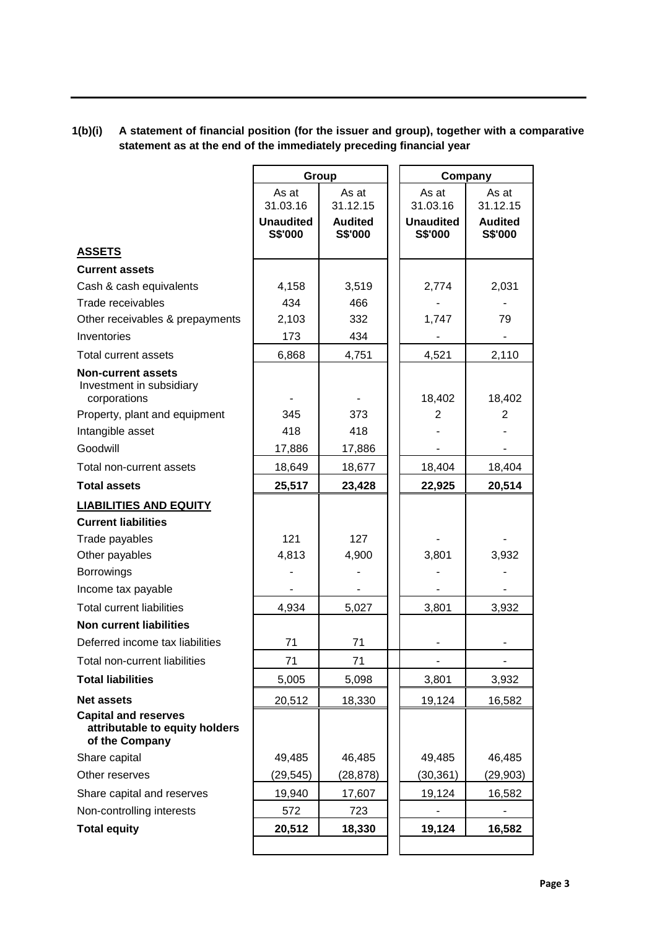# **1(b)(i) A statement of financial position (for the issuer and group), together with a comparative statement as at the end of the immediately preceding financial year**

|                                                                                 |                             | Group                     | Company                     |                           |
|---------------------------------------------------------------------------------|-----------------------------|---------------------------|-----------------------------|---------------------------|
|                                                                                 | As at<br>31.03.16           | As at<br>31.12.15         | As at<br>31.03.16           | As at<br>31.12.15         |
|                                                                                 | <b>Unaudited</b><br>S\$'000 | <b>Audited</b><br>S\$'000 | <b>Unaudited</b><br>S\$'000 | <b>Audited</b><br>S\$'000 |
| <b>ASSETS</b>                                                                   |                             |                           |                             |                           |
| <b>Current assets</b>                                                           |                             |                           |                             |                           |
| Cash & cash equivalents                                                         | 4,158                       | 3,519                     | 2,774                       | 2,031                     |
| Trade receivables                                                               | 434                         | 466                       |                             |                           |
| Other receivables & prepayments                                                 | 2,103                       | 332                       | 1,747                       | 79                        |
| Inventories                                                                     | 173                         | 434                       |                             |                           |
| Total current assets                                                            | 6,868                       | 4,751                     | 4,521                       | 2,110                     |
| <b>Non-current assets</b><br>Investment in subsidiary<br>corporations           |                             |                           | 18,402                      | 18,402                    |
| Property, plant and equipment                                                   | 345                         | 373                       | 2                           | 2                         |
| Intangible asset                                                                | 418                         | 418                       |                             |                           |
| Goodwill                                                                        | 17,886                      | 17,886                    |                             |                           |
| Total non-current assets                                                        | 18,649                      | 18,677                    | 18,404                      | 18,404                    |
| <b>Total assets</b>                                                             | 25,517                      | 23,428                    | 22,925                      | 20,514                    |
| <b>LIABILITIES AND EQUITY</b>                                                   |                             |                           |                             |                           |
| <b>Current liabilities</b>                                                      |                             |                           |                             |                           |
| Trade payables                                                                  | 121                         | 127                       |                             |                           |
| Other payables                                                                  | 4,813                       | 4,900                     | 3,801                       | 3,932                     |
| <b>Borrowings</b>                                                               |                             |                           |                             |                           |
| Income tax payable                                                              |                             |                           |                             |                           |
| <b>Total current liabilities</b>                                                | 4,934                       | 5,027                     | 3,801                       | 3,932                     |
| <b>Non current liabilities</b>                                                  |                             |                           |                             |                           |
| Deferred income tax liabilities                                                 | 71                          | 71                        |                             |                           |
| Total non-current liabilities                                                   | 71                          | 71                        |                             |                           |
| <b>Total liabilities</b>                                                        | 5,005                       | 5,098                     | 3,801                       | 3,932                     |
| <b>Net assets</b>                                                               | 20,512                      | 18,330                    | 19,124                      | 16,582                    |
| <b>Capital and reserves</b><br>attributable to equity holders<br>of the Company |                             |                           |                             |                           |
| Share capital                                                                   | 49,485                      | 46,485                    | 49,485                      | 46,485                    |
| Other reserves                                                                  | (29,545)                    | (28,878)                  | (30,361)                    | (29,903)                  |
| Share capital and reserves                                                      | 19,940                      | 17,607                    | 19,124                      | 16,582                    |
| Non-controlling interests                                                       | 572                         | 723                       |                             |                           |
| <b>Total equity</b>                                                             | 20,512                      | 18,330                    | 19,124                      | 16,582                    |
|                                                                                 |                             |                           |                             |                           |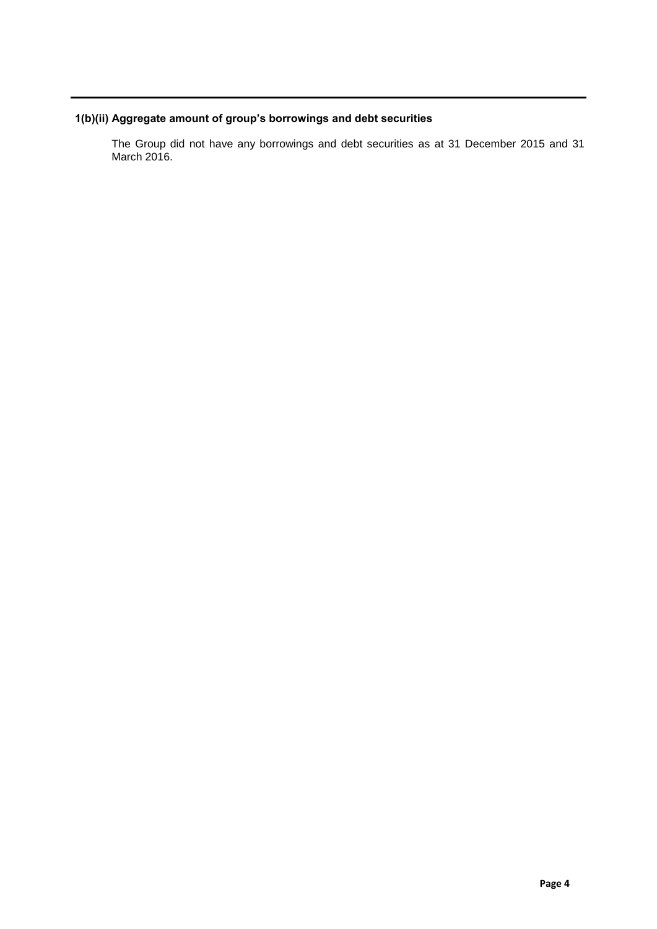# **1(b)(ii) Aggregate amount of group's borrowings and debt securities**

The Group did not have any borrowings and debt securities as at 31 December 2015 and 31 March 2016.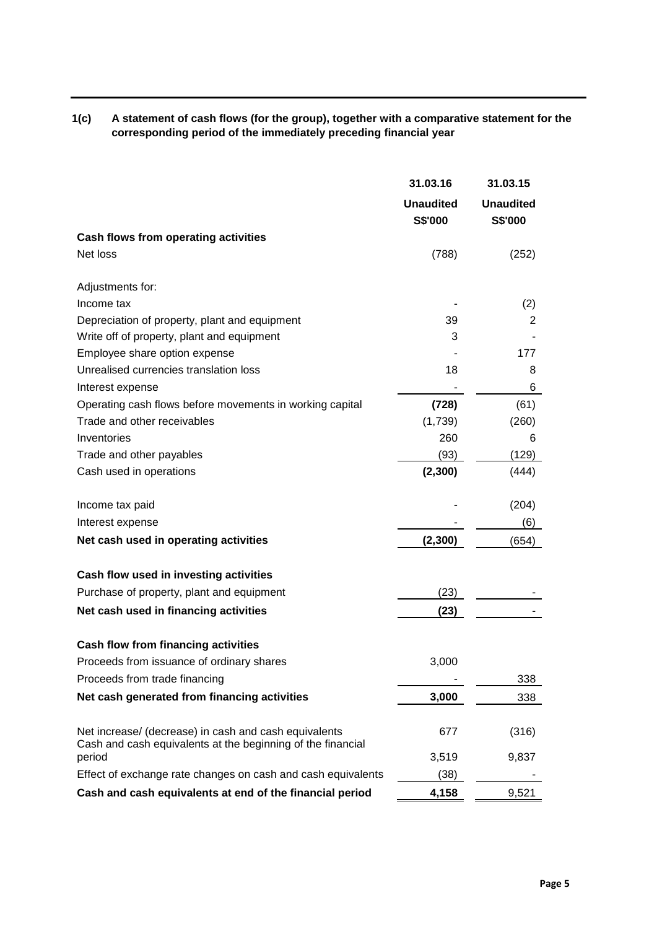**1(c) A statement of cash flows (for the group), together with a comparative statement for the corresponding period of the immediately preceding financial year**

|                                                                                                                      | 31.03.16                    | 31.03.15                    |
|----------------------------------------------------------------------------------------------------------------------|-----------------------------|-----------------------------|
|                                                                                                                      | <b>Unaudited</b><br>S\$'000 | <b>Unaudited</b><br>S\$'000 |
| Cash flows from operating activities                                                                                 |                             |                             |
| Net loss                                                                                                             | (788)                       | (252)                       |
| Adjustments for:                                                                                                     |                             |                             |
| Income tax                                                                                                           |                             | (2)                         |
| Depreciation of property, plant and equipment                                                                        | 39                          | 2                           |
| Write off of property, plant and equipment                                                                           | 3                           |                             |
| Employee share option expense                                                                                        |                             | 177                         |
| Unrealised currencies translation loss<br>Interest expense                                                           | 18                          | 8<br>6                      |
| Operating cash flows before movements in working capital                                                             | (728)                       | (61)                        |
| Trade and other receivables                                                                                          | (1,739)                     | (260)                       |
| Inventories                                                                                                          | 260                         | 6                           |
| Trade and other payables                                                                                             | (93)                        | (129)                       |
| Cash used in operations                                                                                              | (2,300)                     | (444)                       |
| Income tax paid                                                                                                      |                             | (204)                       |
| Interest expense                                                                                                     |                             | (6)                         |
| Net cash used in operating activities                                                                                | (2, 300)                    | (654)                       |
| Cash flow used in investing activities                                                                               |                             |                             |
| Purchase of property, plant and equipment                                                                            | (23)                        |                             |
| Net cash used in financing activities                                                                                | (23)                        |                             |
| Cash flow from financing activities                                                                                  |                             |                             |
| Proceeds from issuance of ordinary shares                                                                            | 3,000                       |                             |
| Proceeds from trade financing                                                                                        |                             | 338                         |
| Net cash generated from financing activities                                                                         | 3,000                       | 338                         |
| Net increase/ (decrease) in cash and cash equivalents<br>Cash and cash equivalents at the beginning of the financial | 677                         | (316)                       |
| period                                                                                                               | 3,519                       | 9,837                       |
| Effect of exchange rate changes on cash and cash equivalents                                                         | (38)                        |                             |
| Cash and cash equivalents at end of the financial period                                                             | 4,158                       | 9,521                       |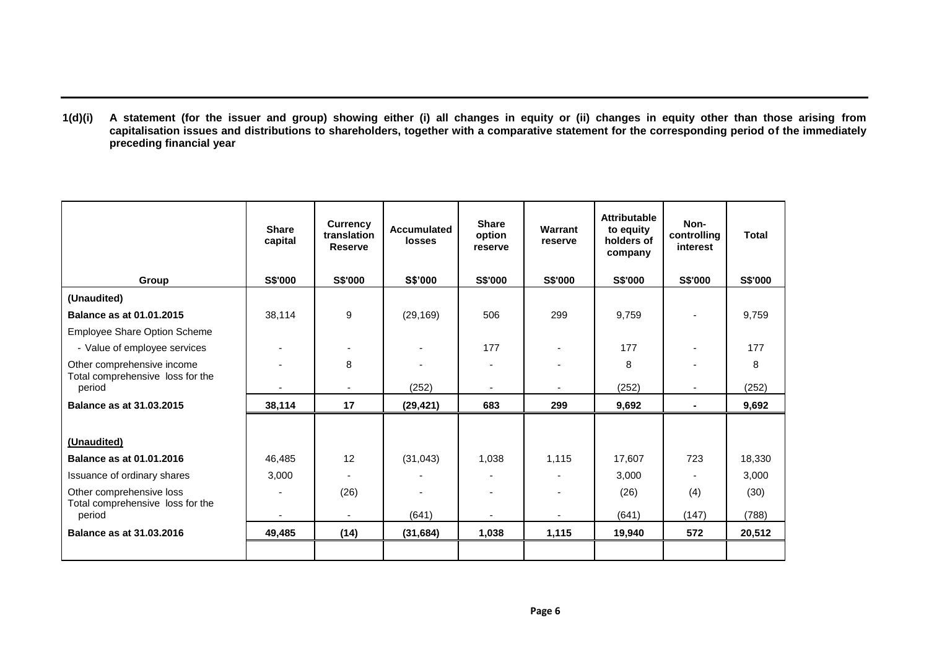**1(d)(i) A statement (for the issuer and group) showing either (i) all changes in equity or (ii) changes in equity other than those arising from capitalisation issues and distributions to shareholders, together with a comparative statement for the corresponding period of the immediately preceding financial year**

|                                            | <b>Share</b><br>capital  | <b>Currency</b><br>translation<br><b>Reserve</b> | <b>Accumulated</b><br><b>losses</b> | <b>Share</b><br>option<br>reserve | Warrant<br>reserve       | <b>Attributable</b><br>to equity<br>holders of<br>company | Non-<br>controlling<br>interest | <b>Total</b> |
|--------------------------------------------|--------------------------|--------------------------------------------------|-------------------------------------|-----------------------------------|--------------------------|-----------------------------------------------------------|---------------------------------|--------------|
| Group                                      | <b>S\$'000</b>           | <b>S\$'000</b>                                   | <b>S\$'000</b>                      | <b>S\$'000</b>                    | <b>S\$'000</b>           | <b>S\$'000</b>                                            | <b>S\$'000</b>                  | S\$'000      |
| (Unaudited)                                |                          |                                                  |                                     |                                   |                          |                                                           |                                 |              |
| Balance as at 01.01.2015                   | 38,114                   | 9                                                | (29, 169)                           | 506                               | 299                      | 9,759                                                     |                                 | 9,759        |
| Employee Share Option Scheme               |                          |                                                  |                                     |                                   |                          |                                                           |                                 |              |
| - Value of employee services               |                          |                                                  |                                     | 177                               | $\overline{\phantom{0}}$ | 177                                                       |                                 | 177          |
| Other comprehensive income                 |                          | 8                                                |                                     |                                   |                          | 8                                                         |                                 | 8            |
| Total comprehensive loss for the<br>period |                          |                                                  | (252)                               |                                   |                          | (252)                                                     |                                 | (252)        |
| Balance as at 31.03.2015                   | 38,114                   | 17                                               | (29, 421)                           | 683                               | 299                      | 9,692                                                     | $\blacksquare$                  | 9,692        |
|                                            |                          |                                                  |                                     |                                   |                          |                                                           |                                 |              |
| (Unaudited)                                |                          |                                                  |                                     |                                   |                          |                                                           |                                 |              |
| <b>Balance as at 01.01.2016</b>            | 46,485                   | 12                                               | (31, 043)                           | 1,038                             | 1,115                    | 17,607                                                    | 723                             | 18,330       |
| Issuance of ordinary shares                | 3,000                    |                                                  |                                     |                                   |                          | 3,000                                                     |                                 | 3,000        |
| Other comprehensive loss                   | $\overline{\phantom{a}}$ | (26)                                             |                                     |                                   |                          | (26)                                                      | (4)                             | (30)         |
| Total comprehensive loss for the<br>period | $\blacksquare$           | $\blacksquare$                                   | (641)                               |                                   |                          | (641)                                                     | (147)                           | (788)        |
| Balance as at 31.03.2016                   | 49,485                   | (14)                                             | (31, 684)                           | 1,038                             | 1,115                    | 19,940                                                    | 572                             | 20,512       |
|                                            |                          |                                                  |                                     |                                   |                          |                                                           |                                 |              |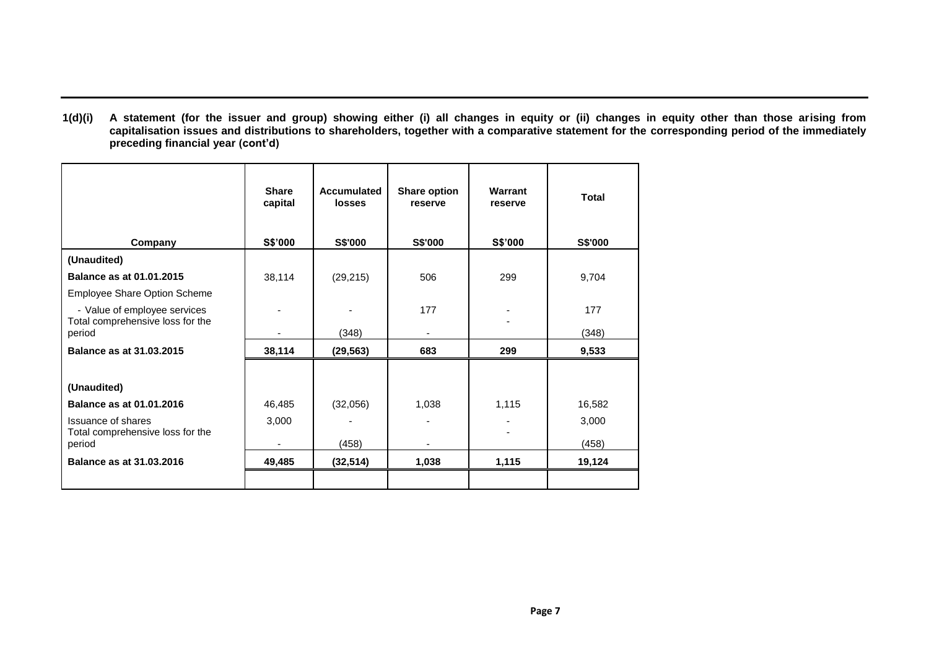**1(d)(i) A statement (for the issuer and group) showing either (i) all changes in equity or (ii) changes in equity other than those arising from capitalisation issues and distributions to shareholders, together with a comparative statement for the corresponding period of the immediately preceding financial year (cont'd)**

|                                            | <b>Share</b><br>capital | Accumulated<br><b>losses</b> | Share option<br>reserve | Warrant<br>reserve | <b>Total</b> |
|--------------------------------------------|-------------------------|------------------------------|-------------------------|--------------------|--------------|
| <b>Company</b>                             | S\$'000                 | <b>S\$'000</b>               | <b>S\$'000</b>          | S\$'000            | S\$'000      |
| (Unaudited)                                |                         |                              |                         |                    |              |
| <b>Balance as at 01.01.2015</b>            | 38,114                  | (29, 215)                    | 506                     | 299                | 9,704        |
| Employee Share Option Scheme               |                         |                              |                         |                    |              |
| - Value of employee services               |                         |                              | 177                     |                    | 177          |
| Total comprehensive loss for the<br>period |                         | (348)                        |                         |                    | (348)        |
| Balance as at 31.03.2015                   | 38,114                  | (29, 563)                    | 683                     | 299                | 9,533        |
|                                            |                         |                              |                         |                    |              |
| (Unaudited)                                |                         |                              |                         |                    |              |
| <b>Balance as at 01.01.2016</b>            | 46,485                  | (32,056)                     | 1,038                   | 1,115              | 16,582       |
| Issuance of shares                         | 3,000                   |                              |                         |                    | 3,000        |
| Total comprehensive loss for the<br>period |                         | (458)                        |                         |                    | (458)        |
| Balance as at 31.03.2016                   | 49,485                  | (32, 514)                    | 1,038                   | 1,115              | 19,124       |
|                                            |                         |                              |                         |                    |              |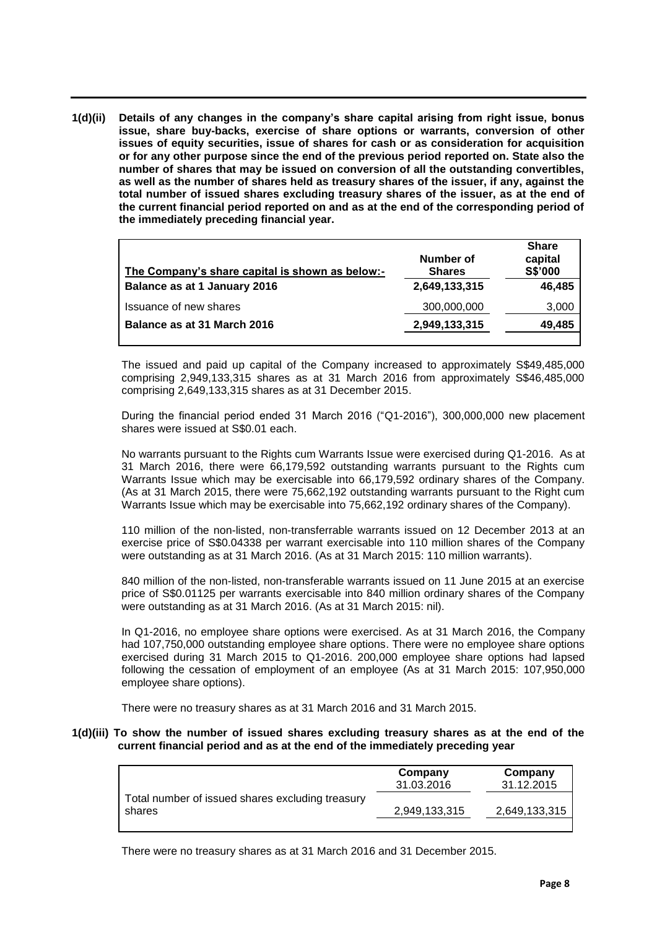**1(d)(ii) Details of any changes in the company's share capital arising from right issue, bonus issue, share buy-backs, exercise of share options or warrants, conversion of other issues of equity securities, issue of shares for cash or as consideration for acquisition or for any other purpose since the end of the previous period reported on. State also the number of shares that may be issued on conversion of all the outstanding convertibles, as well as the number of shares held as treasury shares of the issuer, if any, against the total number of issued shares excluding treasury shares of the issuer, as at the end of the current financial period reported on and as at the end of the corresponding period of the immediately preceding financial year.**

| The Company's share capital is shown as below:- | Number of<br><b>Shares</b> | <b>Share</b><br>capital<br>S\$'000 |
|-------------------------------------------------|----------------------------|------------------------------------|
| Balance as at 1 January 2016                    | 2,649,133,315              | 46,485                             |
| Issuance of new shares                          | 300,000,000                | 3,000                              |
| Balance as at 31 March 2016                     | 2,949,133,315              | 49,485                             |
|                                                 |                            |                                    |

The issued and paid up capital of the Company increased to approximately S\$49,485,000 comprising 2,949,133,315 shares as at 31 March 2016 from approximately S\$46,485,000 comprising 2,649,133,315 shares as at 31 December 2015.

During the financial period ended 31 March 2016 ("Q1-2016"), 300,000,000 new placement shares were issued at S\$0.01 each.

No warrants pursuant to the Rights cum Warrants Issue were exercised during Q1-2016. As at 31 March 2016, there were 66,179,592 outstanding warrants pursuant to the Rights cum Warrants Issue which may be exercisable into 66,179,592 ordinary shares of the Company. (As at 31 March 2015, there were 75,662,192 outstanding warrants pursuant to the Right cum Warrants Issue which may be exercisable into 75,662,192 ordinary shares of the Company).

110 million of the non-listed, non-transferrable warrants issued on 12 December 2013 at an exercise price of S\$0.04338 per warrant exercisable into 110 million shares of the Company were outstanding as at 31 March 2016. (As at 31 March 2015: 110 million warrants).

840 million of the non-listed, non-transferable warrants issued on 11 June 2015 at an exercise price of S\$0.01125 per warrants exercisable into 840 million ordinary shares of the Company were outstanding as at 31 March 2016. (As at 31 March 2015: nil).

In Q1-2016, no employee share options were exercised. As at 31 March 2016, the Company had 107,750,000 outstanding employee share options. There were no employee share options exercised during 31 March 2015 to Q1-2016. 200,000 employee share options had lapsed following the cessation of employment of an employee (As at 31 March 2015: 107,950,000 employee share options).

There were no treasury shares as at 31 March 2016 and 31 March 2015.

#### **1(d)(iii) To show the number of issued shares excluding treasury shares as at the end of the current financial period and as at the end of the immediately preceding year**

|                                                            | Company<br>31.03.2016 | Company<br>31.12.2015 |
|------------------------------------------------------------|-----------------------|-----------------------|
| Total number of issued shares excluding treasury<br>shares | 2,949,133,315         | 2,649,133,315         |
|                                                            |                       |                       |

There were no treasury shares as at 31 March 2016 and 31 December 2015.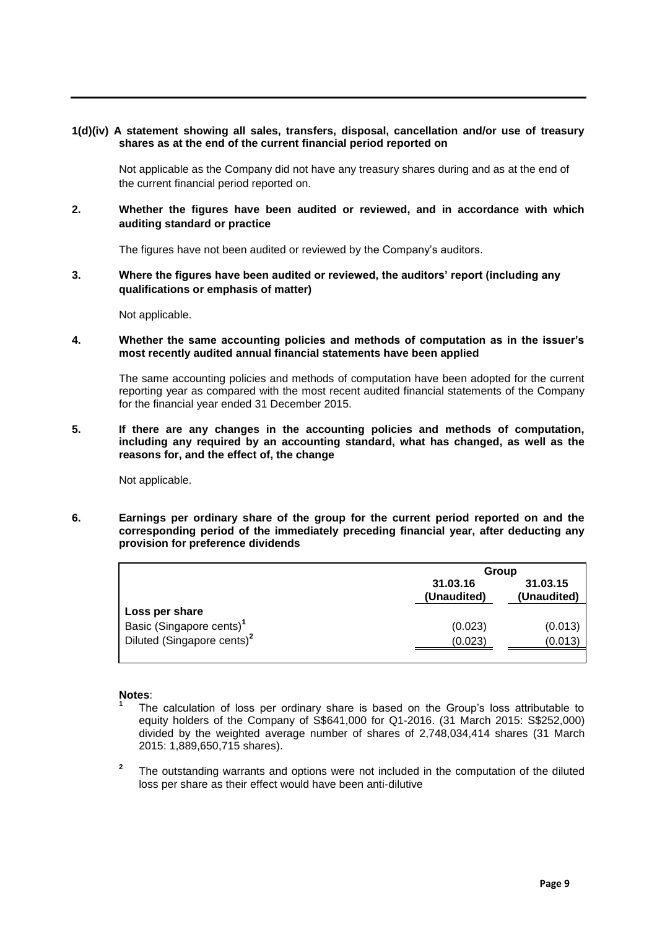### **1(d)(iv) A statement showing all sales, transfers, disposal, cancellation and/or use of treasury shares as at the end of the current financial period reported on**

Not applicable as the Company did not have any treasury shares during and as at the end of the current financial period reported on.

**2. Whether the figures have been audited or reviewed, and in accordance with which auditing standard or practice**

The figures have not been audited or reviewed by the Company's auditors.

**3. Where the figures have been audited or reviewed, the auditors' report (including any qualifications or emphasis of matter)**

Not applicable.

**4. Whether the same accounting policies and methods of computation as in the issuer's most recently audited annual financial statements have been applied**

The same accounting policies and methods of computation have been adopted for the current reporting year as compared with the most recent audited financial statements of the Company for the financial year ended 31 December 2015.

**5. If there are any changes in the accounting policies and methods of computation, including any required by an accounting standard, what has changed, as well as the reasons for, and the effect of, the change**

Not applicable.

**6. Earnings per ordinary share of the group for the current period reported on and the corresponding period of the immediately preceding financial year, after deducting any provision for preference dividends**

|                                        |                         | Group                   |  |  |  |
|----------------------------------------|-------------------------|-------------------------|--|--|--|
|                                        | 31.03.16<br>(Unaudited) | 31.03.15<br>(Unaudited) |  |  |  |
| Loss per share                         |                         |                         |  |  |  |
| Basic (Singapore cents) <sup>1</sup>   | (0.023)                 | (0.013)                 |  |  |  |
| Diluted (Singapore cents) <sup>2</sup> | (0.023)                 | (0.013)                 |  |  |  |
|                                        |                         |                         |  |  |  |

#### **Notes**: **1**

- The calculation of loss per ordinary share is based on the Group's loss attributable to equity holders of the Company of S\$641,000 for Q1-2016. (31 March 2015: S\$252,000) divided by the weighted average number of shares of 2,748,034,414 shares (31 March 2015: 1,889,650,715 shares).
- **2** The outstanding warrants and options were not included in the computation of the diluted loss per share as their effect would have been anti-dilutive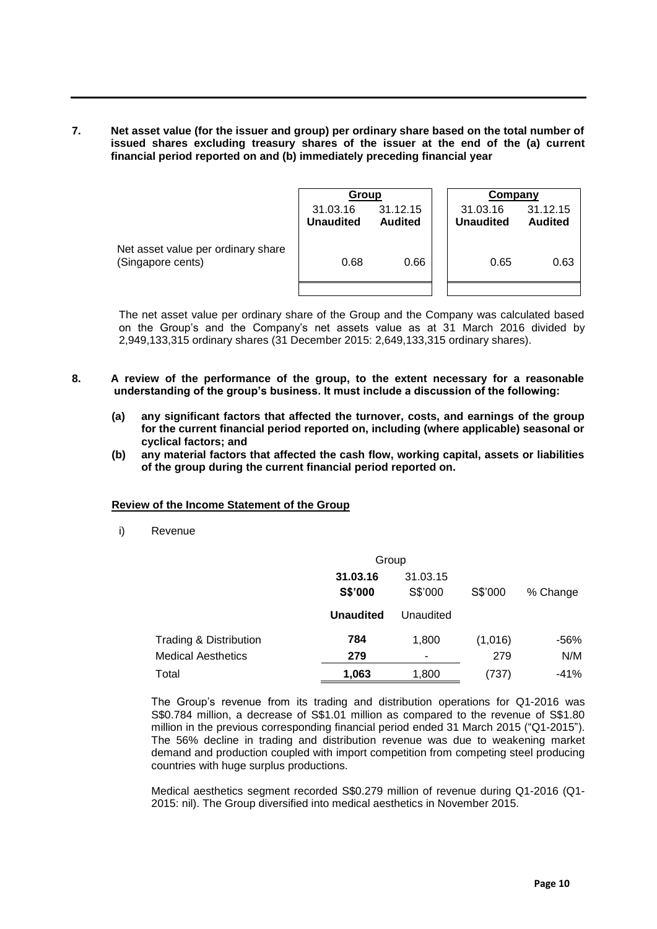**7. Net asset value (for the issuer and group) per ordinary share based on the total number of issued shares excluding treasury shares of the issuer at the end of the (a) current financial period reported on and (b) immediately preceding financial year**

|                                                         | Group                        |                            |  | Company                      |                            |
|---------------------------------------------------------|------------------------------|----------------------------|--|------------------------------|----------------------------|
|                                                         | 31.03.16<br><b>Unaudited</b> | 31.12.15<br><b>Audited</b> |  | 31.03.16<br><b>Unaudited</b> | 31.12.15<br><b>Audited</b> |
| Net asset value per ordinary share<br>(Singapore cents) | 0.68                         | 0.66                       |  | 0.65                         | 0.63                       |
|                                                         |                              |                            |  |                              |                            |

The net asset value per ordinary share of the Group and the Company was calculated based on the Group's and the Company's net assets value as at 31 March 2016 divided by 2,949,133,315 ordinary shares (31 December 2015: 2,649,133,315 ordinary shares).

- **8. A review of the performance of the group, to the extent necessary for a reasonable understanding of the group's business. It must include a discussion of the following:**
	- **(a) any significant factors that affected the turnover, costs, and earnings of the group for the current financial period reported on, including (where applicable) seasonal or cyclical factors; and**
	- **(b) any material factors that affected the cash flow, working capital, assets or liabilities of the group during the current financial period reported on.**

#### **Review of the Income Statement of the Group**

i) Revenue

|                                   | Group            |           |         |          |
|-----------------------------------|------------------|-----------|---------|----------|
|                                   | 31.03.16         | 31.03.15  |         |          |
|                                   | S\$'000          | S\$'000   | S\$'000 | % Change |
|                                   | <b>Unaudited</b> | Unaudited |         |          |
| <b>Trading &amp; Distribution</b> | 784              | 1,800     | (1,016) | -56%     |
| <b>Medical Aesthetics</b>         | 279              | ٠         | 279     | N/M      |
| Total                             | 1,063            | 1,800     | (737)   | $-41%$   |

The Group's revenue from its trading and distribution operations for Q1-2016 was S\$0.784 million, a decrease of S\$1.01 million as compared to the revenue of S\$1.80 million in the previous corresponding financial period ended 31 March 2015 ("Q1-2015"). The 56% decline in trading and distribution revenue was due to weakening market demand and production coupled with import competition from competing steel producing countries with huge surplus productions.

Medical aesthetics segment recorded S\$0.279 million of revenue during Q1-2016 (Q1- 2015: nil). The Group diversified into medical aesthetics in November 2015.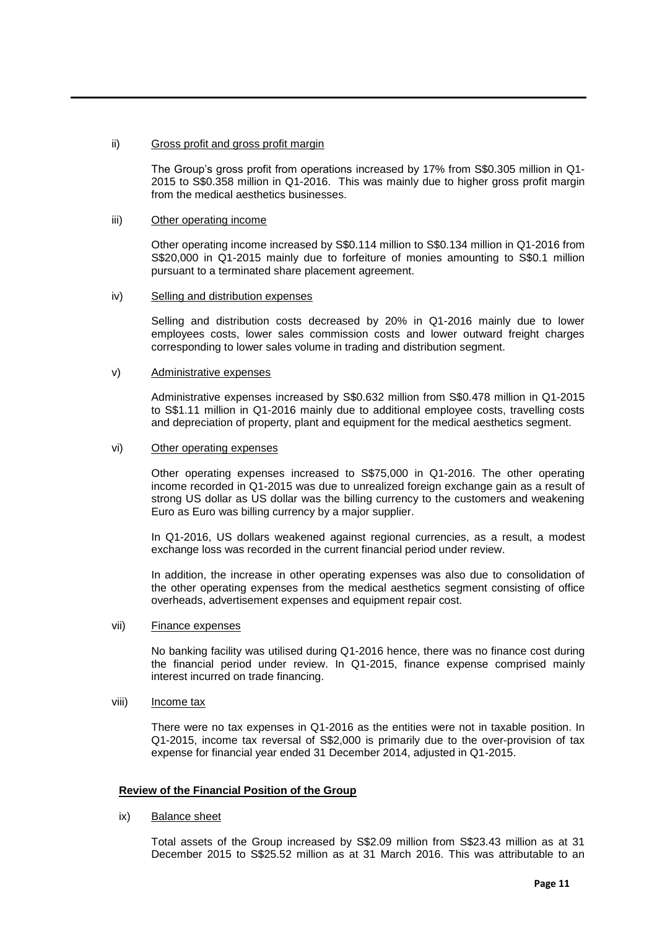#### ii) Gross profit and gross profit margin

The Group's gross profit from operations increased by 17% from S\$0.305 million in Q1- 2015 to S\$0.358 million in Q1-2016. This was mainly due to higher gross profit margin from the medical aesthetics businesses.

### iii) Other operating income

Other operating income increased by S\$0.114 million to S\$0.134 million in Q1-2016 from S\$20,000 in Q1-2015 mainly due to forfeiture of monies amounting to S\$0.1 million pursuant to a terminated share placement agreement.

#### iv) Selling and distribution expenses

Selling and distribution costs decreased by 20% in Q1-2016 mainly due to lower employees costs, lower sales commission costs and lower outward freight charges corresponding to lower sales volume in trading and distribution segment.

#### v) Administrative expenses

Administrative expenses increased by S\$0.632 million from S\$0.478 million in Q1-2015 to S\$1.11 million in Q1-2016 mainly due to additional employee costs, travelling costs and depreciation of property, plant and equipment for the medical aesthetics segment.

#### vi) Other operating expenses

Other operating expenses increased to S\$75,000 in Q1-2016. The other operating income recorded in Q1-2015 was due to unrealized foreign exchange gain as a result of strong US dollar as US dollar was the billing currency to the customers and weakening Euro as Euro was billing currency by a major supplier.

In Q1-2016, US dollars weakened against regional currencies, as a result, a modest exchange loss was recorded in the current financial period under review.

In addition, the increase in other operating expenses was also due to consolidation of the other operating expenses from the medical aesthetics segment consisting of office overheads, advertisement expenses and equipment repair cost.

#### vii) Finance expenses

No banking facility was utilised during Q1-2016 hence, there was no finance cost during the financial period under review. In Q1-2015, finance expense comprised mainly interest incurred on trade financing.

viii) **Income tax** 

There were no tax expenses in Q1-2016 as the entities were not in taxable position. In Q1-2015, income tax reversal of S\$2,000 is primarily due to the over-provision of tax expense for financial year ended 31 December 2014, adjusted in Q1-2015.

# **Review of the Financial Position of the Group**

ix) Balance sheet

Total assets of the Group increased by S\$2.09 million from S\$23.43 million as at 31 December 2015 to S\$25.52 million as at 31 March 2016. This was attributable to an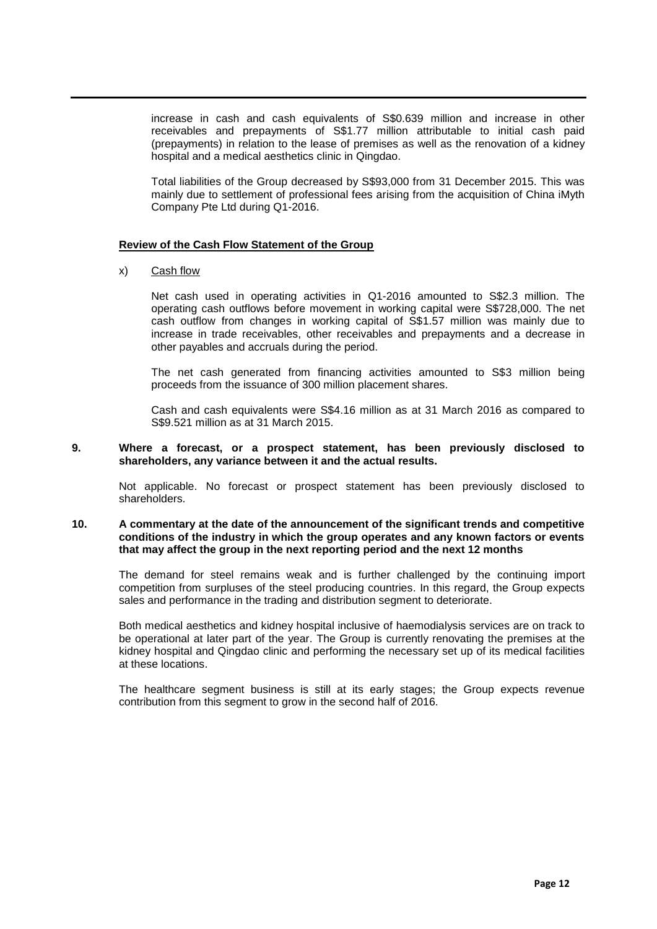increase in cash and cash equivalents of S\$0.639 million and increase in other receivables and prepayments of S\$1.77 million attributable to initial cash paid (prepayments) in relation to the lease of premises as well as the renovation of a kidney hospital and a medical aesthetics clinic in Qingdao.

Total liabilities of the Group decreased by S\$93,000 from 31 December 2015. This was mainly due to settlement of professional fees arising from the acquisition of China iMyth Company Pte Ltd during Q1-2016.

#### **Review of the Cash Flow Statement of the Group**

x) Cash flow

Net cash used in operating activities in Q1-2016 amounted to S\$2.3 million. The operating cash outflows before movement in working capital were S\$728,000. The net cash outflow from changes in working capital of S\$1.57 million was mainly due to increase in trade receivables, other receivables and prepayments and a decrease in other payables and accruals during the period.

The net cash generated from financing activities amounted to S\$3 million being proceeds from the issuance of 300 million placement shares.

Cash and cash equivalents were S\$4.16 million as at 31 March 2016 as compared to S\$9.521 million as at 31 March 2015.

#### **9. Where a forecast, or a prospect statement, has been previously disclosed to shareholders, any variance between it and the actual results.**

Not applicable. No forecast or prospect statement has been previously disclosed to shareholders.

### **10. A commentary at the date of the announcement of the significant trends and competitive conditions of the industry in which the group operates and any known factors or events that may affect the group in the next reporting period and the next 12 months**

The demand for steel remains weak and is further challenged by the continuing import competition from surpluses of the steel producing countries. In this regard, the Group expects sales and performance in the trading and distribution segment to deteriorate.

Both medical aesthetics and kidney hospital inclusive of haemodialysis services are on track to be operational at later part of the year. The Group is currently renovating the premises at the kidney hospital and Qingdao clinic and performing the necessary set up of its medical facilities at these locations.

The healthcare segment business is still at its early stages; the Group expects revenue contribution from this segment to grow in the second half of 2016.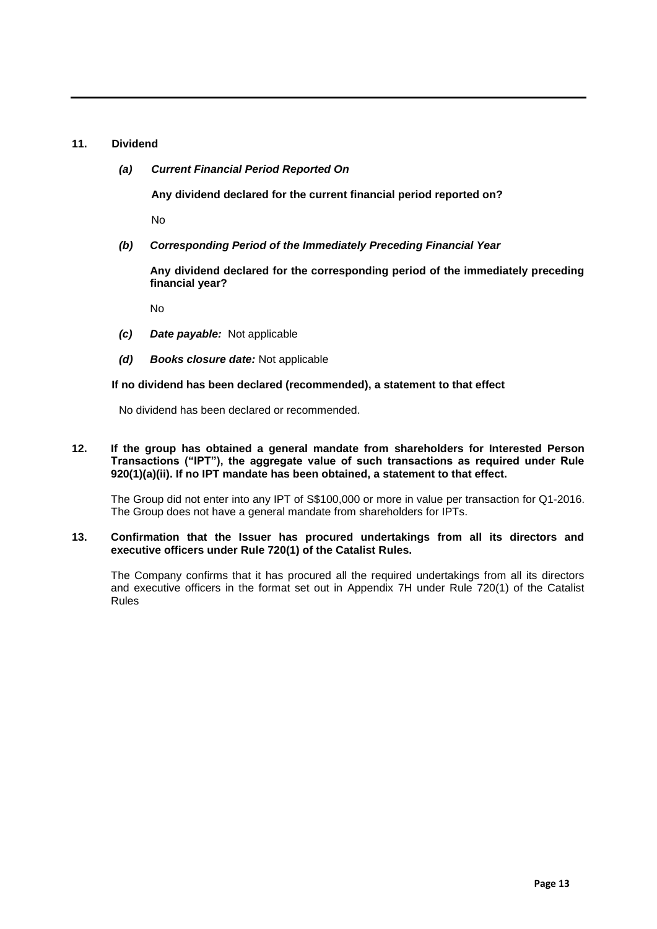## **11. Dividend**

*(a) Current Financial Period Reported On*

**Any dividend declared for the current financial period reported on?** 

No

*(b) Corresponding Period of the Immediately Preceding Financial Year*

**Any dividend declared for the corresponding period of the immediately preceding financial year?** 

No

- *(c) Date payable:* Not applicable
- *(d) Books closure date:* Not applicable

## **If no dividend has been declared (recommended), a statement to that effect**

No dividend has been declared or recommended.

#### **12. If the group has obtained a general mandate from shareholders for Interested Person Transactions ("IPT"), the aggregate value of such transactions as required under Rule 920(1)(a)(ii). If no IPT mandate has been obtained, a statement to that effect.**

The Group did not enter into any IPT of S\$100,000 or more in value per transaction for Q1-2016. The Group does not have a general mandate from shareholders for IPTs.

### **13. Confirmation that the Issuer has procured undertakings from all its directors and executive officers under Rule 720(1) of the Catalist Rules.**

The Company confirms that it has procured all the required undertakings from all its directors and executive officers in the format set out in Appendix 7H under Rule 720(1) of the Catalist Rules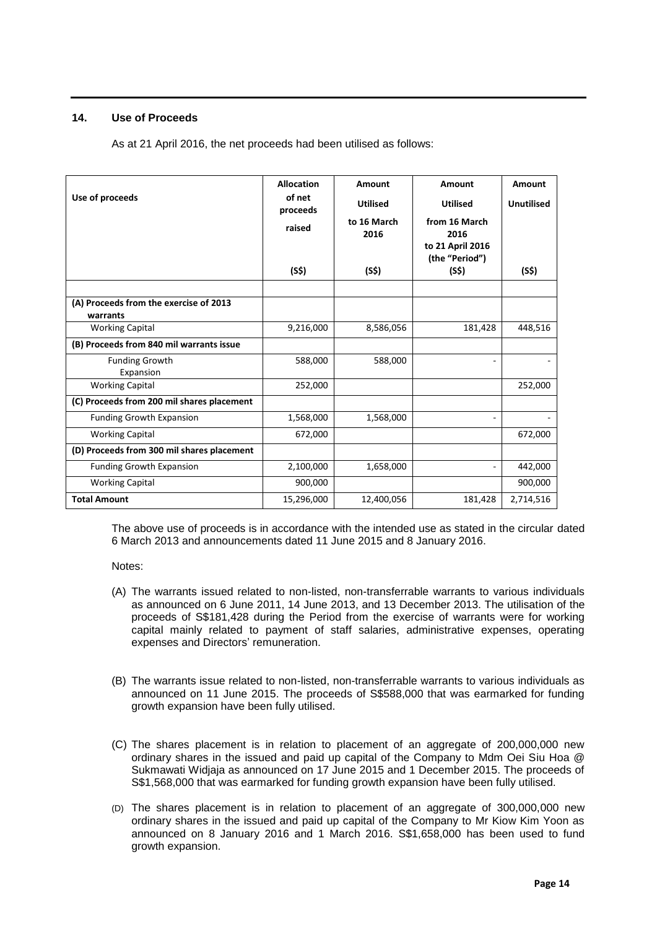# **14. Use of Proceeds**

As at 21 April 2016, the net proceeds had been utilised as follows:

| Use of proceeds                                    | <b>Allocation</b><br>of net | Amount              | Amount                             | Amount            |
|----------------------------------------------------|-----------------------------|---------------------|------------------------------------|-------------------|
|                                                    | proceeds                    | <b>Utilised</b>     | <b>Utilised</b>                    | <b>Unutilised</b> |
|                                                    | raised                      | to 16 March<br>2016 | from 16 March<br>2016              |                   |
|                                                    |                             |                     | to 21 April 2016<br>(the "Period") |                   |
|                                                    | (S\$)                       | (S\$)               | (S\$)                              | (S\$)             |
|                                                    |                             |                     |                                    |                   |
| (A) Proceeds from the exercise of 2013<br>warrants |                             |                     |                                    |                   |
| <b>Working Capital</b>                             | 9,216,000                   | 8,586,056           | 181,428                            | 448,516           |
| (B) Proceeds from 840 mil warrants issue           |                             |                     |                                    |                   |
| <b>Funding Growth</b><br>Expansion                 | 588,000                     | 588,000             | ۰                                  |                   |
| <b>Working Capital</b>                             | 252,000                     |                     |                                    | 252,000           |
| (C) Proceeds from 200 mil shares placement         |                             |                     |                                    |                   |
| <b>Funding Growth Expansion</b>                    | 1,568,000                   | 1,568,000           | ٠                                  |                   |
| <b>Working Capital</b>                             | 672,000                     |                     |                                    | 672,000           |
| (D) Proceeds from 300 mil shares placement         |                             |                     |                                    |                   |
| Funding Growth Expansion                           | 2,100,000                   | 1,658,000           |                                    | 442,000           |
| <b>Working Capital</b>                             | 900,000                     |                     |                                    | 900,000           |
| <b>Total Amount</b>                                | 15,296,000                  | 12,400,056          | 181,428                            | 2,714,516         |

The above use of proceeds is in accordance with the intended use as stated in the circular dated 6 March 2013 and announcements dated 11 June 2015 and 8 January 2016.

Notes:

- (A) The warrants issued related to non-listed, non-transferrable warrants to various individuals as announced on 6 June 2011, 14 June 2013, and 13 December 2013. The utilisation of the proceeds of S\$181,428 during the Period from the exercise of warrants were for working capital mainly related to payment of staff salaries, administrative expenses, operating expenses and Directors' remuneration.
- (B) The warrants issue related to non-listed, non-transferrable warrants to various individuals as announced on 11 June 2015. The proceeds of S\$588,000 that was earmarked for funding growth expansion have been fully utilised.
- (C) The shares placement is in relation to placement of an aggregate of 200,000,000 new ordinary shares in the issued and paid up capital of the Company to Mdm Oei Siu Hoa @ Sukmawati Widjaja as announced on 17 June 2015 and 1 December 2015. The proceeds of S\$1,568,000 that was earmarked for funding growth expansion have been fully utilised.
- (D) The shares placement is in relation to placement of an aggregate of 300,000,000 new ordinary shares in the issued and paid up capital of the Company to Mr Kiow Kim Yoon as announced on 8 January 2016 and 1 March 2016. S\$1,658,000 has been used to fund growth expansion.